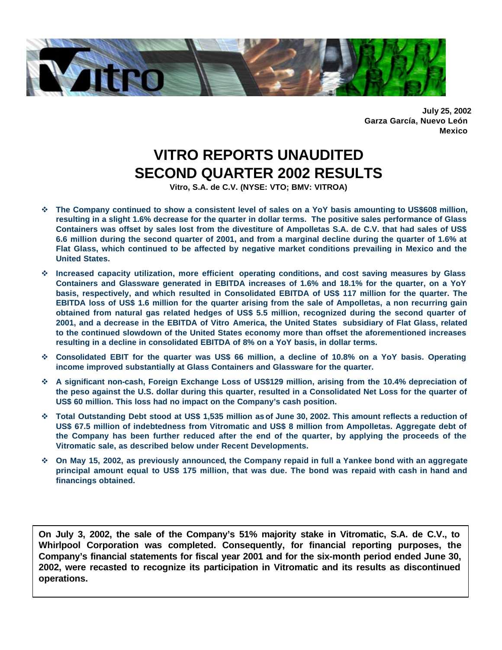

**July 25, 2002 Garza García, Nuevo León Mexico**

# **VITRO REPORTS UNAUDITED SECOND QUARTER 2002 RESULTS**

**Vitro, S.A. de C.V. (NYSE: VTO; BMV: VITROA)**

- v **The Company continued to show a consistent level of sales on a YoY basis amounting to US\$608 million, resulting in a slight 1.6% decrease for the quarter in dollar terms. The positive sales performance of Glass Containers was offset by sales lost from the divestiture of Ampolletas S.A. de C.V. that had sales of US\$ 6.6 million during the second quarter of 2001, and from a marginal decline during the quarter of 1.6% at Flat Glass, which continued to be affected by negative market conditions prevailing in Mexico and the United States.**
- v **Increased capacity utilization, more efficient operating conditions, and cost saving measures by Glass Containers and Glassware generated in EBITDA increases of 1.6% and 18.1% for the quarter, on a YoY basis, respectively, and which resulted in Consolidated EBITDA of US\$ 117 million for the quarter. The EBITDA loss of US\$ 1.6 million for the quarter arising from the sale of Ampolletas, a non recurring gain obtained from natural gas related hedges of US\$ 5.5 million, recognized during the second quarter of 2001, and a decrease in the EBITDA of Vitro America, the United States subsidiary of Flat Glass, related to the continued slowdown of the United States economy more than offset the aforementioned increases resulting in a decline in consolidated EBITDA of 8% on a YoY basis, in dollar terms.**
- v **Consolidated EBIT for the quarter was US\$ 66 million, a decline of 10.8% on a YoY basis. Operating income improved substantially at Glass Containers and Glassware for the quarter.**
- v **A significant non-cash, Foreign Exchange Loss of US\$129 million, arising from the 10.4% depreciation of the peso against the U.S. dollar during this quarter, resulted in a Consolidated Net Loss for the quarter of US\$ 60 million. This loss had no impact on the Company's cash position.**
- v **Total Outstanding Debt stood at US\$ 1,535 million as of June 30, 2002. This amount reflects a reduction of US\$ 67.5 million of indebtedness from Vitromatic and US\$ 8 million from Ampolletas. Aggregate debt of the Company has been further reduced after the end of the quarter, by applying the proceeds of the Vitromatic sale, as described below under Recent Developments.**
- v **On May 15, 2002, as previously announced, the Company repaid in full a Yankee bond with an aggregate principal amount equal to US\$ 175 million, that was due. The bond was repaid with cash in hand and financings obtained.**

**On July 3, 2002, the sale of the Company's 51% majority stake in Vitromatic, S.A. de C.V., to Whirlpool Corporation was completed. Consequently, for financial reporting purposes, the Company's financial statements for fiscal year 2001 and for the six-month period ended June 30, 2002, were recasted to recognize its participation in Vitromatic and its results as discontinued operations.**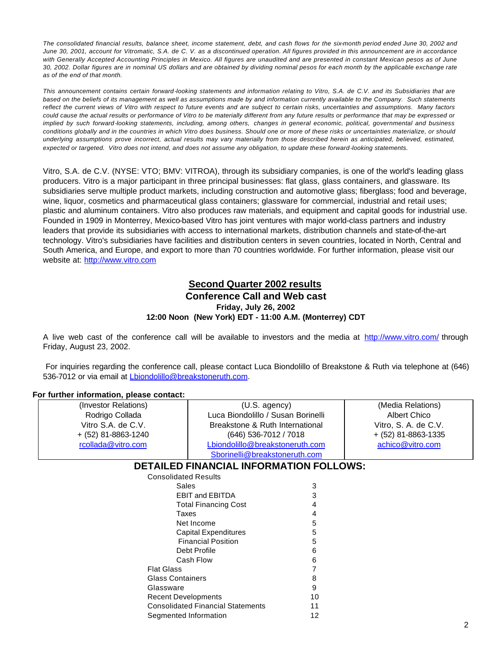*The consolidated financial results, balance sheet, income statement, debt, and cash flows for the six-month period ended June 30, 2002 and June 30, 2001, account for Vitromatic, S.A. de C. V. as a discontinued operation. All figures provided in this announcement are in accordance with Generally Accepted Accounting Principles in Mexico. All figures are unaudited and are presented in constant Mexican pesos as of June 30, 2002. Dollar figures are in nominal US dollars and are obtained by dividing nominal pesos for each month by the applicable exchange rate as of the end of that month.* 

*This announcement contains certain forward-looking statements and information relating to Vitro, S.A. de C.V. and its Subsidiaries that are*  based on the beliefs of its management as well as assumptions made by and information currently available to the Company. Such statements *reflect the current views of Vitro with respect to future events and are subject to certain risks, uncertainties and assumptions. Many factors could cause the actual results or performance of Vitro to be materially different from any future results or performance that may be expressed or implied by such forward-looking statements, including, among others, changes in general economic, political, governmental and business conditions globally and in the countries in which Vitro does business. Should one or more of these risks or uncertainties materialize, or should underlying assumptions prove incorrect, actual results may vary materially from those described herein as anticipated, believed, estimated, expected or targeted. Vitro does not intend, and does not assume any obligation, to update these forward-looking statements.*

Vitro, S.A. de C.V. (NYSE: VTO; BMV: VITROA), through its subsidiary companies, is one of the world's leading glass producers. Vitro is a major participant in three principal businesses: flat glass, glass containers, and glassware. Its subsidiaries serve multiple product markets, including construction and automotive glass; fiberglass; food and beverage, wine, liquor, cosmetics and pharmaceutical glass containers; glassware for commercial, industrial and retail uses; plastic and aluminum containers. Vitro also produces raw materials, and equipment and capital goods for industrial use. Founded in 1909 in Monterrey, Mexico-based Vitro has joint ventures with major world-class partners and industry leaders that provide its subsidiaries with access to international markets, distribution channels and state-of-the-art technology. Vitro's subsidiaries have facilities and distribution centers in seven countries, located in North, Central and South America, and Europe, and export to more than 70 countries worldwide. For further information, please visit our website at: http://www.vitro.com

## **Second Quarter 2002 results Conference Call and Web cast Friday, July 26, 2002 12:00 Noon (New York) EDT - 11:00 A.M. (Monterrey) CDT**

A live web cast of the conference call will be available to investors and the media at http://www.vitro.com/ through Friday, August 23, 2002.

 For inquiries regarding the conference call, please contact Luca Biondolillo of Breakstone & Ruth via telephone at (646) 536-7012 or via email at *Lbiondolillo@breakstoneruth.com.* 

#### **For further information, please contact:**

| (Investor Relations)        | $(U.S.$ agency)                                |    | (Media Relations)    |
|-----------------------------|------------------------------------------------|----|----------------------|
| Rodrigo Collada             | Luca Biondolillo / Susan Borinelli             |    | Albert Chico         |
| Vitro S.A. de C.V.          | Breakstone & Ruth International                |    | Vitro, S. A. de C.V. |
| $+$ (52) 81-8863-1240       | (646) 536-7012 / 7018                          |    | + (52) 81-8863-1335  |
| rcollada@vitro.com          | Lbiondolillo@breakstoneruth.com                |    | achico@vitro.com     |
|                             | Sborinelli@breakstoneruth.com                  |    |                      |
|                             | <b>DETAILED FINANCIAL INFORMATION FOLLOWS:</b> |    |                      |
| <b>Consolidated Results</b> |                                                |    |                      |
| Sales                       |                                                | 3  |                      |
|                             | <b>EBIT and EBITDA</b>                         | 3  |                      |
|                             | <b>Total Financing Cost</b>                    |    |                      |
| Taxes                       |                                                |    |                      |
|                             | Net Income                                     | 5  |                      |
|                             | <b>Capital Expenditures</b>                    | 5  |                      |
|                             | <b>Financial Position</b>                      | 5  |                      |
|                             | Debt Profile                                   | 6  |                      |
|                             | Cash Flow                                      | 6  |                      |
| <b>Flat Glass</b>           |                                                |    |                      |
| <b>Glass Containers</b>     |                                                | 8  |                      |
| Glassware                   |                                                | 9  |                      |
| <b>Recent Developments</b>  |                                                | 10 |                      |
|                             | <b>Consolidated Financial Statements</b>       | 11 |                      |
| Segmented Information       |                                                | 12 |                      |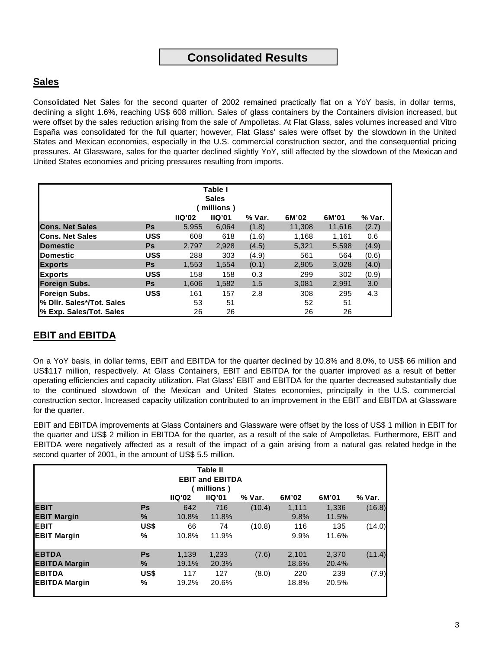## **Sales**

Consolidated Net Sales for the second quarter of 2002 remained practically flat on a YoY basis, in dollar terms, declining a slight 1.6%, reaching US\$ 608 million. Sales of glass containers by the Containers division increased, but were offset by the sales reduction arising from the sale of Ampolletas. At Flat Glass, sales volumes increased and Vitro España was consolidated for the full quarter; however, Flat Glass' sales were offset by the slowdown in the United States and Mexican economies, especially in the U.S. commercial construction sector, and the consequential pricing pressures. At Glassware, sales for the quarter declined slightly YoY, still affected by the slowdown of the Mexican and United States economies and pricing pressures resulting from imports.

| Table I                   |           |        |           |        |        |        |        |  |  |
|---------------------------|-----------|--------|-----------|--------|--------|--------|--------|--|--|
| <b>Sales</b>              |           |        |           |        |        |        |        |  |  |
|                           |           |        | millions) |        |        |        |        |  |  |
|                           |           | IIQ'02 | IIQ'01    | % Var. | 6M'02  | 6M'01  | % Var. |  |  |
| <b>Cons. Net Sales</b>    | <b>Ps</b> | 5,955  | 6,064     | (1.8)  | 11,308 | 11,616 | (2.7)  |  |  |
| <b>Cons. Net Sales</b>    | US\$      | 608    | 618       | (1.6)  | 1,168  | 1.161  | 0.6    |  |  |
| <b>IDomestic</b>          | <b>Ps</b> | 2.797  | 2.928     | (4.5)  | 5.321  | 5,598  | (4.9)  |  |  |
| <b>IDomestic</b>          | US\$      | 288    | 303       | (4.9)  | 561    | 564    | (0.6)  |  |  |
| <b>Exports</b>            | <b>Ps</b> | 1,553  | 1,554     | (0.1)  | 2,905  | 3,028  | (4.0)  |  |  |
| <b>Exports</b>            | US\$      | 158    | 158       | 0.3    | 299    | 302    | (0.9)  |  |  |
| <b>Foreign Subs.</b>      | <b>Ps</b> | 1,606  | 1,582     | 1.5    | 3,081  | 2,991  | 3.0    |  |  |
| <b>IForeian Subs.</b>     | US\$      | 161    | 157       | 2.8    | 308    | 295    | 4.3    |  |  |
| % Dilr. Sales*/Tot. Sales |           | 53     | 51        |        | 52     | 51     |        |  |  |
| % Exp. Sales/Tot. Sales   |           | 26     | 26        |        | 26     | 26     |        |  |  |

# **EBIT and EBITDA**

On a YoY basis, in dollar terms, EBIT and EBITDA for the quarter declined by 10.8% and 8.0%, to US\$ 66 million and US\$117 million, respectively. At Glass Containers, EBIT and EBITDA for the quarter improved as a result of better operating efficiencies and capacity utilization. Flat Glass' EBIT and EBITDA for the quarter decreased substantially due to the continued slowdown of the Mexican and United States economies, principally in the U.S. commercial construction sector. Increased capacity utilization contributed to an improvement in the EBIT and EBITDA at Glassware for the quarter.

EBIT and EBITDA improvements at Glass Containers and Glassware were offset by the loss of US\$ 1 million in EBIT for the quarter and US\$ 2 million in EBITDA for the quarter, as a result of the sale of Ampolletas. Furthermore, EBIT and EBITDA were negatively affected as a result of the impact of a gain arising from a natural gas related hedge in the second quarter of 2001, in the amount of US\$ 5.5 million.

| <b>Table II</b><br><b>EBIT and EBITDA</b><br>(millions)<br>6M'02<br>IIQ'02<br>IIQ'01<br>6M'01<br>% Var.<br>% Var. |                   |                |                |        |                |                |        |  |  |
|-------------------------------------------------------------------------------------------------------------------|-------------------|----------------|----------------|--------|----------------|----------------|--------|--|--|
| <b>IEBIT</b><br><b>IEBIT Margin</b>                                                                               | <b>Ps</b><br>$\%$ | 642<br>10.8%   | 716<br>11.8%   | (10.4) | 1.111<br>9.8%  | 1.336<br>11.5% | (16.8) |  |  |
| <b>EBIT</b><br><b>EBIT Margin</b>                                                                                 | US\$<br>%         | 66<br>10.8%    | 74<br>11.9%    | (10.8) | 116<br>9.9%    | 135<br>11.6%   | (14.0) |  |  |
| <b>EBTDA</b><br><b>EBITDA Margin</b>                                                                              | Ps<br>$\%$        | 1,139<br>19.1% | 1,233<br>20.3% | (7.6)  | 2,101<br>18.6% | 2,370<br>20.4% | (11.4) |  |  |
| <b>EBITDA</b><br><b>EBITDA Margin</b>                                                                             | US\$<br>%         | 117<br>19.2%   | 127<br>20.6%   | (8.0)  | 220<br>18.8%   | 239<br>20.5%   | (7.9)  |  |  |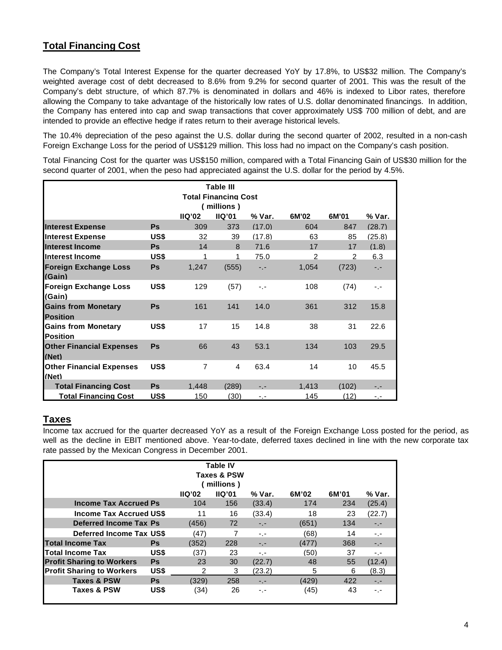# **Total Financing Cost**

The Company's Total Interest Expense for the quarter decreased YoY by 17.8%, to US\$32 million. The Company's weighted average cost of debt decreased to 8.6% from 9.2% for second quarter of 2001. This was the result of the Company's debt structure, of which 87.7% is denominated in dollars and 46% is indexed to Libor rates, therefore allowing the Company to take advantage of the historically low rates of U.S. dollar denominated financings. In addition, the Company has entered into cap and swap transactions that cover approximately US\$ 700 million of debt, and are intended to provide an effective hedge if rates return to their average historical levels.

The 10.4% depreciation of the peso against the U.S. dollar during the second quarter of 2002, resulted in a non-cash Foreign Exchange Loss for the period of US\$129 million. This loss had no impact on the Company's cash position.

Total Financing Cost for the quarter was US\$150 million, compared with a Total Financing Gain of US\$30 million for the second quarter of 2001, when the peso had appreciated against the U.S. dollar for the period by 4.5%.

| Table III<br><b>Total Financing Cost</b><br>(millions)        |           |                |              |        |               |       |        |  |  |  |  |
|---------------------------------------------------------------|-----------|----------------|--------------|--------|---------------|-------|--------|--|--|--|--|
| <b>IIQ'01</b><br>IIQ'02<br>% Var.<br>6M'02<br>6M'01<br>% Var. |           |                |              |        |               |       |        |  |  |  |  |
| <b>Interest Expense</b>                                       | <b>Ps</b> | 309            | 373          | (17.0) | 604           | 847   | (28.7) |  |  |  |  |
| <b>Interest Expense</b>                                       | US\$      | 32             | 39           | (17.8) | 63            | 85    | (25.8) |  |  |  |  |
| <b>Interest Income</b>                                        | <b>Ps</b> | 14             | $\mathsf{R}$ | 71.6   | 17            | 17    | (1.8)  |  |  |  |  |
| Interest Income                                               | US\$      | 1              | 1            | 75.0   | $\mathcal{P}$ | 2     | 6.3    |  |  |  |  |
| <b>Foreign Exchange Loss</b><br>(Gain)                        | <b>Ps</b> | 1,247          | (555)        | -.-    | 1,054         | (723) | $-1$   |  |  |  |  |
| <b>Foreign Exchange Loss</b><br>(Gain)                        | US\$      | 129            | (57)         | -.-    | 108           | (74)  | -.-    |  |  |  |  |
| <b>Gains from Monetary</b><br><b>Position</b>                 | <b>Ps</b> | 161            | 141          | 14.0   | 361           | 312   | 15.8   |  |  |  |  |
| <b>Gains from Monetary</b><br><b>Position</b>                 | US\$      | 17             | 15           | 14.8   | 38            | 31    | 22.6   |  |  |  |  |
| <b>Other Financial Expenses</b><br>(Net)                      | Ps        | 66             | 43           | 53.1   | 134           | 103   | 29.5   |  |  |  |  |
| <b>Other Financial Expenses</b><br>(Net)                      | US\$      | $\overline{7}$ | 4            | 63.4   | 14            | 10    | 45.5   |  |  |  |  |
| <b>Total Financing Cost</b>                                   | <b>Ps</b> | 1.448          | (289)        | - -    | 1.413         | (102) |        |  |  |  |  |
| <b>Total Financing Cost</b>                                   | US\$      | 150            | (30)         | -.-    | 145           | (12)  | -.-    |  |  |  |  |

## **Taxes**

Income tax accrued for the quarter decreased YoY as a result of the Foreign Exchange Loss posted for the period, as well as the decline in EBIT mentioned above. Year-to-date, deferred taxes declined in line with the new corporate tax rate passed by the Mexican Congress in December 2001.

| <b>Table IV</b><br>Taxes & PSW<br>millions) |           |        |        |        |       |       |        |  |  |  |
|---------------------------------------------|-----------|--------|--------|--------|-------|-------|--------|--|--|--|
|                                             |           | IIQ'02 | IIQ'01 | % Var. | 6M'02 | 6M'01 | % Var. |  |  |  |
| <b>Income Tax Accrued Ps</b>                |           | 104    | 156    | (33.4) | 174   | 234   | (25.4) |  |  |  |
| <b>Income Tax Accrued US\$</b>              |           | 11     | 16     | (33.4) | 18    | 23    | (22.7) |  |  |  |
| Deferred Income Tax Ps                      |           | (456)  | 72     | -.-    | (651) | 134   | $-1$   |  |  |  |
| <b>Deferred Income Tax US\$</b>             |           | (47)   |        | $-1$   | (68)  | 14    | $-1$   |  |  |  |
| <b>Total Income Tax</b>                     | <b>Ps</b> | (352)  | 228    | -.-    | (477) | 368   | $-1 -$ |  |  |  |
| <b>Total Income Tax</b>                     | US\$      | (37)   | 23     | -.-    | (50)  | 37    | $-1$   |  |  |  |
| <b>Profit Sharing to Workers</b>            | <b>Ps</b> | 23     | 30     | (22.7) | 48    | 55    | (12.4) |  |  |  |
| <b>Profit Sharing to Workers</b>            | US\$      | 2      | 3      | (23.2) | 5     | 6     | (8.3)  |  |  |  |
| <b>Taxes &amp; PSW</b>                      | Ps        | (329)  | 258    | $-1$   | (429) | 422   | $-1$   |  |  |  |
| Taxes & PSW                                 | US\$      | (34)   | 26     | -.-    | (45)  | 43    | -.-    |  |  |  |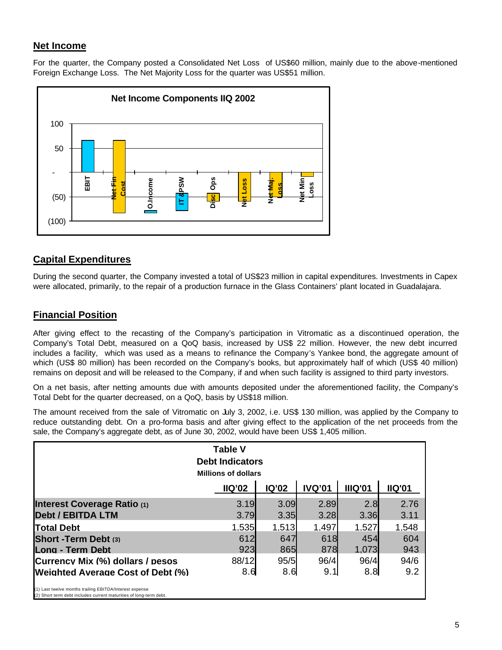## **Net Income**

For the quarter, the Company posted a Consolidated Net Loss of US\$60 million, mainly due to the above-mentioned Foreign Exchange Loss. The Net Majority Loss for the quarter was US\$51 million.



# **Capital Expenditures**

During the second quarter, the Company invested a total of US\$23 million in capital expenditures. Investments in Capex were allocated, primarily, to the repair of a production furnace in the Glass Containers' plant located in Guadalajara.

## **Financial Position**

After giving effect to the recasting of the Company's participation in Vitromatic as a discontinued operation, the Company's Total Debt, measured on a QoQ basis, increased by US\$ 22 million. However, the new debt incurred includes a facility, which was used as a means to refinance the Company's Yankee bond, the aggregate amount of which (US\$ 80 million) has been recorded on the Company's books, but approximately half of which (US\$ 40 million) remains on deposit and will be released to the Company, if and when such facility is assigned to third party investors.

On a net basis, after netting amounts due with amounts deposited under the aforementioned facility, the Company's Total Debt for the quarter decreased, on a QoQ, basis by US\$18 million.

The amount received from the sale of Vitromatic on July 3, 2002, i.e. US\$ 130 million, was applied by the Company to reduce outstanding debt. On a pro-forma basis and after giving effect to the application of the net proceeds from the sale, the Company's aggregate debt, as of June 30, 2002, would have been US\$ 1,405 million.

| <b>Table V</b><br><b>Debt Indicators</b><br><b>Millions of dollars</b>                                                        |               |              |               |                |               |  |  |  |
|-------------------------------------------------------------------------------------------------------------------------------|---------------|--------------|---------------|----------------|---------------|--|--|--|
|                                                                                                                               | <b>IIQ'02</b> | <b>IQ'02</b> | <b>IVQ'01</b> | <b>IIIQ'01</b> | <b>IIQ'01</b> |  |  |  |
| Interest Coverage Ratio (1)<br><b>Debt / EBITDA LTM</b>                                                                       | 3.19<br>3.79  | 3.09<br>3.35 | 2.89<br>3.28  | 2.8<br>3.36    | 2.76<br>3.11  |  |  |  |
| <b>Total Debt</b>                                                                                                             | 1.535         | 1.513        | 1.497         | 1.527          | 1.548         |  |  |  |
| Short - Term Debt (3)                                                                                                         | 612           | 647          | 618           | 454            | 604           |  |  |  |
| Long - Term Debt                                                                                                              | 923           | 865          | 878           | 1.073          | 943           |  |  |  |
| <b>ICurrency Mix (%) dollars / pesos</b>                                                                                      | 88/12         | 95/5         | 96/4          | 96/4           | 94/6          |  |  |  |
| <b>IWeighted Average Cost of Debt (%)</b>                                                                                     | 8.6           | 8.6          | 9.1           | 8.8            | 9.2           |  |  |  |
| (1) Last twelve months trailing EBITDA/Interest expense<br>(2) Short term debt includes current maturities of long-term debt. |               |              |               |                |               |  |  |  |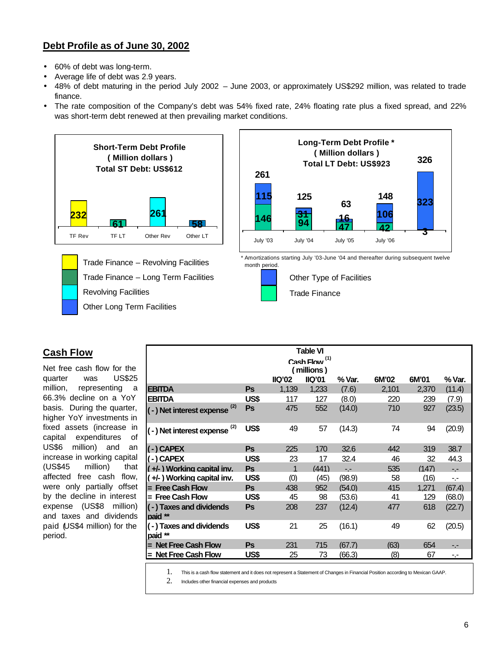## **Debt Profile as of June 30, 2002**

- 60% of debt was long-term.
- Average life of debt was 2.9 years.
- 48% of debt maturing in the period July 2002 June 2003, or approximately US\$292 million, was related to trade finance.
- The rate composition of the Company's debt was 54% fixed rate, 24% floating rate plus a fixed spread, and 22% was short-term debt renewed at then prevailing market conditions.



Other Long Term Facilities Trade Finance – Long Term Facilities Revolving Facilities Trade Finance – Revolving Facilities



Amortizations starting July '03-June '04 and thereafter during subsequent twelve month period.



# **Cash Flow**

Net free cash flow for the quarter was US\$25 million, representing a 66.3% decline on a YoY basis. During the quarter, higher YoY investments in fixed assets (increase in capital expenditures of US\$6 million) and an increase in working capital (US\$45 million) that affected free cash flow, were only partially offset by the decline in interest expense (US\$8 million) and taxes and dividends paid (US\$4 million) for the period.

| <b>Table VI</b>                    |           |        |            |        |       |       |        |
|------------------------------------|-----------|--------|------------|--------|-------|-------|--------|
| Cash Flow <sup>(1)</sup>           |           |        |            |        |       |       |        |
|                                    |           |        | (millions) |        |       |       |        |
|                                    |           | IIQ'02 | IIQ'01     | % Var. | 6M'02 | 6M'01 | % Var. |
| <b>EBITDA</b>                      | Ps        | 1,139  | 1,233      | (7.6)  | 2,101 | 2,370 | (11.4) |
| <b>EBITDA</b>                      | US\$      | 117    | 127        | (8.0)  | 220   | 239   | (7.9)  |
| (-) Net interest expense (2)       | <b>Ps</b> | 475    | 552        | (14.0) | 710   | 927   | (23.5) |
| (-) Net interest expense (2)       | US\$      | 49     | 57         | (14.3) | 74    | 94    | (20.9) |
| (-)CAPEX                           | <b>Ps</b> | 225    | 170        | 32.6   | 442   | 319   | 38.7   |
| (-)CAPEX                           | US\$      | 23     | 17         | 32.4   | 46    | 32    | 44.3   |
| (+/-) Working capital inv.         | Ps        |        | (441)      | $-1$   | 535   | (147) | $-1$   |
| (+/-) Working capital inv.         | US\$      | (0)    | (45)       | (98.9) | 58    | (16)  | - 1    |
| = Free Cash Flow                   | Ps        | 438    | 952        | (54.0) | 415   | 1.271 | (67.4) |
| = Free Cash Flow                   | US\$      | 45     | 98         | (53.6) | 41    | 129   | (68.0) |
| (-) Taxes and dividends<br>paid ** | Ps        | 208    | 237        | (12.4) | 477   | 618   | (22.7) |
| (-) Taxes and dividends<br>paid ** | US\$      | 21     | 25         | (16.1) | 49    | 62    | (20.5) |
| = Net Free Cash Flow               | Ps        | 231    | 715        | (67.7) | (63)  | 654   |        |
| = Net Free Cash Flow               | US\$      | 25     | 73         | (66.3) | (8)   | 67    |        |
|                                    |           |        |            |        |       |       |        |

1. This is a cash flow statement and it does not represent a Statement of Changes in Financial Position according to Mexican GAAP.

2. Includes other financial expenses and products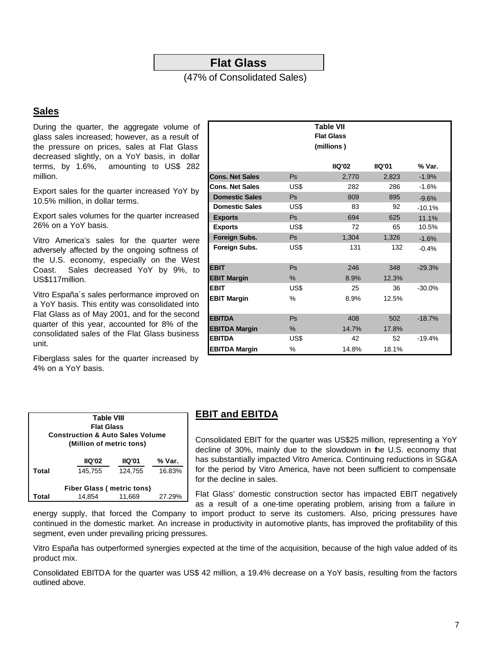## **Flat Glass**

(47% of Consolidated Sales)

## **Sales**

During the quarter, the aggregate volume of glass sales increased; however, as a result of the pressure on prices, sales at Flat Glass decreased slightly, on a YoY basis, in dollar terms, by 1.6%, amounting to US\$ 282 million.

Export sales for the quarter increased YoY by 10.5% million, in dollar terms.

Export sales volumes for the quarter increased 26% on a YoY basis.

Vitro America's sales for the quarter were adversely affected by the ongoing softness of the U.S. economy, especially on the West Coast. Sales decreased YoY by 9%, to US\$117million.

Vitro España´s sales performance improved on a YoY basis. This entity was consolidated into Flat Glass as of May 2001, and for the second quarter of this year, accounted for 8% of the consolidated sales of the Flat Glass business unit.

Fiberglass sales for the quarter increased by 4% on a YoY basis.

|                        |      | <b>Table VII</b><br><b>Flat Glass</b><br>(millions) |        |           |
|------------------------|------|-----------------------------------------------------|--------|-----------|
|                        |      | IIO'02                                              | IIO'01 | % Var.    |
| <b>Cons. Net Sales</b> | Ps   | 2,770                                               | 2,823  | $-1.9%$   |
| <b>Cons. Net Sales</b> | US\$ | 282                                                 | 286    | $-1.6%$   |
| <b>Domestic Sales</b>  | Ps   | 809                                                 | 895    | $-9.6%$   |
| <b>Domestic Sales</b>  | US\$ | 83                                                  | 92     | $-10.1%$  |
| <b>Exports</b>         | Ps   | 694                                                 | 625    | 11.1%     |
| <b>Exports</b>         | US\$ | 72                                                  | 65     | 10.5%     |
| Foreign Subs.          | Ps   | 1,304                                               | 1,326  | $-1.6%$   |
| Foreign Subs.          | US\$ | 131                                                 | 132    | $-0.4%$   |
| <b>EBIT</b>            | Ps   | 246                                                 | 348    | $-29.3%$  |
| <b>EBIT Margin</b>     | %    | 8.9%                                                | 12.3%  |           |
| EBIT                   | US\$ | 25                                                  | 36     | $-30.0\%$ |
| <b>EBIT Margin</b>     | $\%$ | 8.9%                                                | 12.5%  |           |
| <b>EBITDA</b>          | Ps   | 408                                                 | 502    | $-18.7%$  |
| <b>EBITDA Margin</b>   | $\%$ | 14.7%                                               | 17.8%  |           |
| <b>EBITDA</b>          | US\$ | 42                                                  | 52     | $-19.4%$  |
| <b>EBITDA Margin</b>   | %    | 14.8%                                               | 18.1%  |           |

#### **EBIT and EBITDA**

| <b>Table VIII</b>                |                                             |         |        |  |  |  |  |  |
|----------------------------------|---------------------------------------------|---------|--------|--|--|--|--|--|
|                                  | <b>Flat Glass</b>                           |         |        |  |  |  |  |  |
|                                  | <b>Construction &amp; Auto Sales Volume</b> |         |        |  |  |  |  |  |
|                                  | (Million of metric tons)                    |         |        |  |  |  |  |  |
|                                  |                                             |         |        |  |  |  |  |  |
|                                  | IIO'02                                      | IIO'01  | % Var. |  |  |  |  |  |
| Total                            | 145.755                                     | 124.755 | 16.83% |  |  |  |  |  |
|                                  |                                             |         |        |  |  |  |  |  |
| <b>Fiber Glass (metric tons)</b> |                                             |         |        |  |  |  |  |  |
| Total                            | 14.854                                      | 11,669  | 27.29% |  |  |  |  |  |

Consolidated EBIT for the quarter was US\$25 million, representing a YoY decline of 30%, mainly due to the slowdown in the U.S. economy that has substantially impacted Vitro America. Continuing reductions in SG&A for the period by Vitro America, have not been sufficient to compensate for the decline in sales.

Flat Glass' domestic construction sector has impacted EBIT negatively as a result of a one-time operating problem, arising from a failure in

energy supply, that forced the Company to import product to serve its customers. Also, pricing pressures have continued in the domestic market. An increase in productivity in automotive plants, has improved the profitability of this segment, even under prevailing pricing pressures.

Vitro España has outperformed synergies expected at the time of the acquisition, because of the high value added of its product mix.

Consolidated EBITDA for the quarter was US\$ 42 million, a 19.4% decrease on a YoY basis, resulting from the factors outlined above.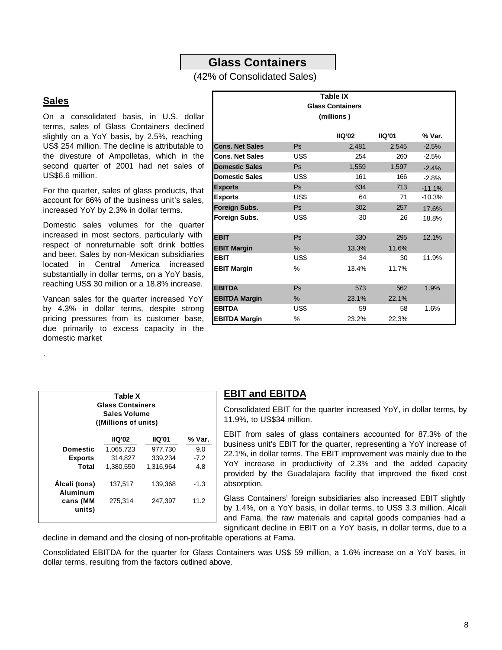## **Glass Containers**

#### (42% of Consolidated Sales)

#### **Sales**

.

On a consolidated basis, in U.S. dollar terms, sales of Glass Containers declined slightly on a YoY basis, by 2.5%, reaching US\$ 254 million. The decline is attributable to the divesture of Ampolletas, which in the second quarter of 2001 had net sales of US\$6.6 million.

For the quarter, sales of glass products, that account for 86% of the business unit's sales, increased YoY by 2.3% in dollar terms.

Domestic sales volumes for the quarter increased in most sectors, particularly with respect of nonreturnable soft drink bottles and beer. Sales by non-Mexican subsidiaries located in Central America increased substantially in dollar terms, on a YoY basis, reaching US\$ 30 million or a 18.8% increase.

Vancan sales for the quarter increased YoY by 4.3% in dollar terms, despite strong pricing pressures from its customer base, due primarily to excess capacity in the domestic market

|                           | Table X<br><b>Glass Containers</b><br>Sales Volume<br>((Millions of units) |               |        |  |  |  |  |  |  |
|---------------------------|----------------------------------------------------------------------------|---------------|--------|--|--|--|--|--|--|
|                           | IIO'02                                                                     | <b>IIQ'01</b> | % Var. |  |  |  |  |  |  |
| <b>Domestic</b>           | 977,730<br>1,065,723<br>9.0                                                |               |        |  |  |  |  |  |  |
| <b>Exports</b>            | 314,827                                                                    | 339,234       | $-7.2$ |  |  |  |  |  |  |
| Total                     | 1,380,550                                                                  | 1,316,964     | 4.8    |  |  |  |  |  |  |
| Álcali (tons)<br>Aluminum | 137,517<br>139,368<br>$-1.3$                                               |               |        |  |  |  |  |  |  |
| cans (MM<br>units)        | 275,314                                                                    | 247.397       | 11.2   |  |  |  |  |  |  |

| Table IX<br><b>Glass Containers</b><br>(millions) |               |               |        |          |  |  |  |  |
|---------------------------------------------------|---------------|---------------|--------|----------|--|--|--|--|
|                                                   |               | <b>IIQ'02</b> | IIO'01 | % Var.   |  |  |  |  |
| <b>Cons. Net Sales</b>                            | Ps            | 2.481         | 2.545  | $-2.5%$  |  |  |  |  |
| <b>Cons. Net Sales</b>                            | US\$          | 254           | 260    | $-2.5%$  |  |  |  |  |
| <b>Domestic Sales</b>                             | Ps            | 1,559         | 1,597  | $-2.4%$  |  |  |  |  |
| <b>Domestic Sales</b>                             | US\$          | 161           | 166    | $-2.8%$  |  |  |  |  |
| <b>Exports</b>                                    | Ps            | 634           | 713    | $-11.1%$ |  |  |  |  |
| <b>Exports</b>                                    | US\$          | 64            | 71     | $-10.3%$ |  |  |  |  |
| Foreign Subs.                                     | <b>Ps</b>     | 302           | 257    | 17.6%    |  |  |  |  |
| Foreign Subs.                                     | US\$          | 30            | 26     | 18.8%    |  |  |  |  |
| <b>EBIT</b>                                       | Ps            | 330           | 295    | 12.1%    |  |  |  |  |
| <b>EBIT Margin</b>                                | $\frac{9}{6}$ | 13.3%         | 11.6%  |          |  |  |  |  |
| <b>EBIT</b>                                       | US\$          | 34            | 30     | 11.9%    |  |  |  |  |
| <b>EBIT Margin</b>                                | $\%$          | 13.4%         | 11.7%  |          |  |  |  |  |
| <b>EBITDA</b>                                     | Ps            | 573           | 562    | 1.9%     |  |  |  |  |
| <b>EBITDA Margin</b>                              | $\%$          | 23.1%         | 22.1%  |          |  |  |  |  |
| <b>EBITDA</b>                                     | US\$          | 59            | 58     | 1.6%     |  |  |  |  |
| <b>EBITDA Margin</b>                              | %             | 23.2%         | 22.3%  |          |  |  |  |  |

#### **EBIT and EBITDA**

Consolidated EBIT for the quarter increased YoY, in dollar terms, by 11.9%, to US\$34 million.

EBIT from sales of glass containers accounted for 87.3% of the business unit's EBIT for the quarter, representing a YoY increase of 22.1%, in dollar terms. The EBIT improvement was mainly due to the YoY increase in productivity of 2.3% and the added capacity provided by the Guadalajara facility that improved the fixed cost absorption.

Glass Containers' foreign subsidiaries also increased EBIT slightly by 1.4%, on a YoY basis, in dollar terms, to US\$ 3.3 million. Alcali and Fama, the raw materials and capital goods companies had a significant decline in EBIT on a YoY basis, in dollar terms, due to a

decline in demand and the closing of non-profitable operations at Fama.

Consolidated EBITDA for the quarter for Glass Containers was US\$ 59 million, a 1.6% increase on a YoY basis, in dollar terms, resulting from the factors outlined above.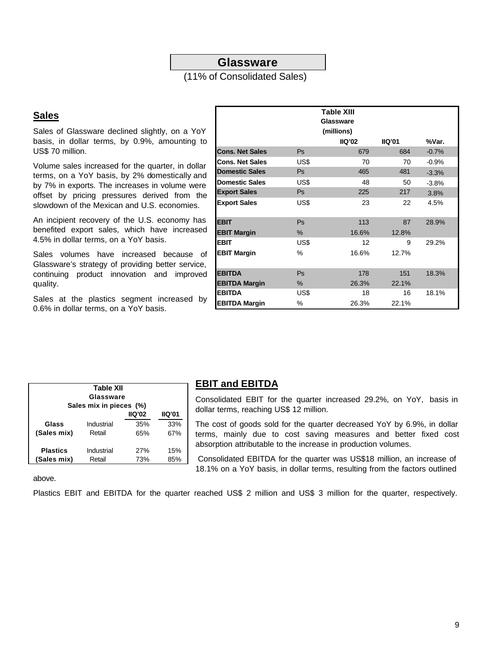### **Glassware**

(11% of Consolidated Sales)

#### **Sales**

Sales of Glassware declined slightly, on a YoY basis, in dollar terms, by 0.9%, amounting to US\$ 70 million.

Volume sales increased for the quarter, in dollar terms, on a YoY basis, by 2% domestically and by 7% in exports. The increases in volume were offset by pricing pressures derived from the slowdown of the Mexican and U.S. economies.

An incipient recovery of the U.S. economy has benefited export sales, which have increased 4.5% in dollar terms, on a YoY basis.

Sales volumes have increased because of Glassware's strategy of providing better service, continuing product innovation and improved quality.

Sales at the plastics segment increased by 0.6% in dollar terms, on a YoY basis.

|                        |           | <b>Table XIII</b><br>Glassware<br>(millions) |        |          |
|------------------------|-----------|----------------------------------------------|--------|----------|
|                        |           | IIO'02                                       | IIO'01 | %Var.    |
| <b>Cons. Net Sales</b> | Ps        | 679                                          | 684    | $-0.7%$  |
| <b>Cons. Net Sales</b> | US\$      | 70                                           | 70     | $-0.9\%$ |
| <b>Domestic Sales</b>  | Ps        | 465                                          | 481    | $-3.3%$  |
| <b>Domestic Sales</b>  | US\$      | 48                                           | 50     | $-3.8%$  |
| <b>Export Sales</b>    | <b>Ps</b> | 225                                          | 217    | 3.8%     |
| <b>Export Sales</b>    | US\$      | 23                                           | 22     | 4.5%     |
| <b>EBIT</b>            | Ps        | 113                                          | 87     | 28.9%    |
| <b>EBIT Margin</b>     | %         | 16.6%                                        | 12.8%  |          |
| <b>EBIT</b>            | US\$      | 12                                           | 9      | 29.2%    |
| <b>EBIT Margin</b>     | $\%$      | 16.6%                                        | 12.7%  |          |
| <b>EBITDA</b>          | Ps        | 178                                          | 151    | 18.3%    |
| <b>EBITDA Margin</b>   | %         | 26.3%                                        | 22.1%  |          |
| <b>EBITDA</b>          | US\$      | 18                                           | 16     | 18.1%    |
| <b>EBITDA Margin</b>   | %         | 26.3%                                        | 22.1%  |          |

| Table XII<br>Glassware<br>Sales mix in pieces (%) |            |        |        |  |  |  |  |  |  |  |
|---------------------------------------------------|------------|--------|--------|--|--|--|--|--|--|--|
|                                                   |            | IIO'02 | IIO'01 |  |  |  |  |  |  |  |
| Glass                                             | Industrial | 35%    | 33%    |  |  |  |  |  |  |  |
| (Sales mix)                                       | Retail     | 65%    | 67%    |  |  |  |  |  |  |  |
| <b>Plastics</b>                                   | Industrial | 27%    | 15%    |  |  |  |  |  |  |  |
| (Sales mix)                                       | Retail     | 73%    | 85%    |  |  |  |  |  |  |  |

#### **EBIT and EBITDA**

Consolidated EBIT for the quarter increased 29.2%, on YoY, basis in dollar terms, reaching US\$ 12 million.

The cost of goods sold for the quarter decreased YoY by 6.9%, in dollar terms, mainly due to cost saving measures and better fixed cost absorption attributable to the increase in production volumes.

 Consolidated EBITDA for the quarter was US\$18 million, an increase of 18.1% on a YoY basis, in dollar terms, resulting from the factors outlined

above.

Plastics EBIT and EBITDA for the quarter reached US\$ 2 million and US\$ 3 million for the quarter, respectively.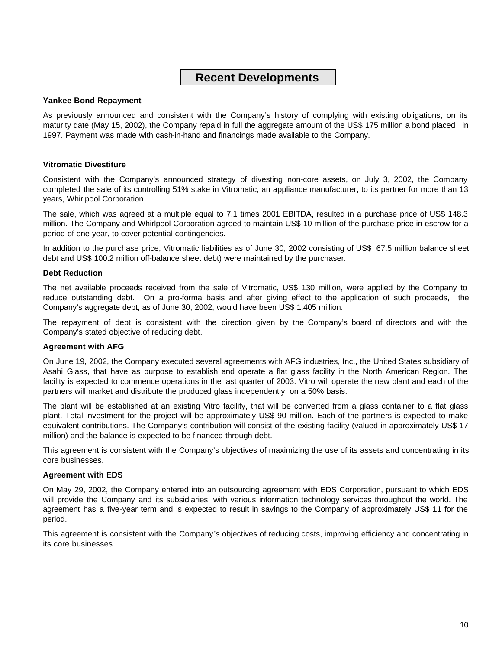# **Recent Developments**

#### **Yankee Bond Repayment**

As previously announced and consistent with the Company's history of complying with existing obligations, on its maturity date (May 15, 2002), the Company repaid in full the aggregate amount of the US\$ 175 million a bond placed in 1997. Payment was made with cash-in-hand and financings made available to the Company.

#### **Vitromatic Divestiture**

Consistent with the Company's announced strategy of divesting non-core assets, on July 3, 2002, the Company completed the sale of its controlling 51% stake in Vitromatic, an appliance manufacturer, to its partner for more than 13 years, Whirlpool Corporation.

The sale, which was agreed at a multiple equal to 7.1 times 2001 EBITDA, resulted in a purchase price of US\$ 148.3 million. The Company and Whirlpool Corporation agreed to maintain US\$ 10 million of the purchase price in escrow for a period of one year, to cover potential contingencies.

In addition to the purchase price, Vitromatic liabilities as of June 30, 2002 consisting of US\$ 67.5 million balance sheet debt and US\$ 100.2 million off-balance sheet debt) were maintained by the purchaser.

#### **Debt Reduction**

The net available proceeds received from the sale of Vitromatic, US\$ 130 million, were applied by the Company to reduce outstanding debt. On a pro-forma basis and after giving effect to the application of such proceeds, the Company's aggregate debt, as of June 30, 2002, would have been US\$ 1,405 million.

The repayment of debt is consistent with the direction given by the Company's board of directors and with the Company's stated objective of reducing debt.

#### **Agreement with AFG**

On June 19, 2002, the Company executed several agreements with AFG industries, Inc., the United States subsidiary of Asahi Glass, that have as purpose to establish and operate a flat glass facility in the North American Region. The facility is expected to commence operations in the last quarter of 2003. Vitro will operate the new plant and each of the partners will market and distribute the produced glass independently, on a 50% basis.

The plant will be established at an existing Vitro facility, that will be converted from a glass container to a flat glass plant. Total investment for the project will be approximately US\$ 90 million. Each of the partners is expected to make equivalent contributions. The Company's contribution will consist of the existing facility (valued in approximately US\$ 17 million) and the balance is expected to be financed through debt.

This agreement is consistent with the Company's objectives of maximizing the use of its assets and concentrating in its core businesses.

#### **Agreement with EDS**

On May 29, 2002, the Company entered into an outsourcing agreement with EDS Corporation, pursuant to which EDS will provide the Company and its subsidiaries, with various information technology services throughout the world. The agreement has a five-year term and is expected to result in savings to the Company of approximately US\$ 11 for the period.

This agreement is consistent with the Company's objectives of reducing costs, improving efficiency and concentrating in its core businesses.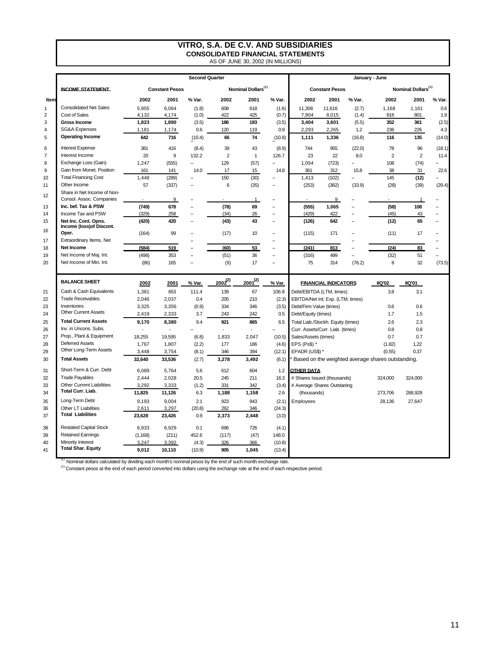# **VITRO, S.A. DE C.V. AND SUBSIDIARIES CONSOLIDATED FINANCIAL STATEMENTS** AS OF JUNE 30, 2002 (IN MILLIONS)

|                |                                                 |                       |                          | <b>Second Quarter</b>    |                |                                | January - June                     |                                                          |                        |                |                                |                |                          |  |
|----------------|-------------------------------------------------|-----------------------|--------------------------|--------------------------|----------------|--------------------------------|------------------------------------|----------------------------------------------------------|------------------------|----------------|--------------------------------|----------------|--------------------------|--|
|                | <b>INCOME STATEMENT.</b>                        | <b>Constant Pesos</b> |                          |                          |                | Nominal Dollars <sup>(1)</sup> |                                    |                                                          | <b>Constant Pesos</b>  |                | Nominal Dollars <sup>(1)</sup> |                |                          |  |
| Item           |                                                 | 2002                  | 2001                     | % Var.                   | 2002           | 2001                           | % Var.                             | 2002                                                     | 2001                   | % Var.         | 2002                           | 2001           | % Var.                   |  |
| $\overline{1}$ | <b>Consolidated Net Sales</b>                   | 5,955                 | 6,064                    | (1.8)                    | 608            | 618                            | (1.6)                              | 11,308                                                   | 11,616                 | (2.7)          | 1,168                          | 1,161          | 0.6                      |  |
| $\overline{2}$ | Cost of Sales                                   | 4,132                 | 4,174                    | (1.0)                    | 422            | 425                            | (0.7)                              | 7,904                                                    | 8,015                  | (1.4)          | 816                            | 801            | 1.9                      |  |
| 3              | <b>Gross Income</b>                             | 1,823                 | 1,890                    | (3.5)                    | 186            | 193                            | (3.5)<br>0.9                       | 3,404<br>2,293                                           | 3,601                  | (5.5)          | 352                            | 361            | (2.5)                    |  |
| $\sqrt{4}$     | <b>SG&amp;A Expenses</b>                        | 1,181                 | 1,174                    | 0.6                      | 120            | 119                            |                                    |                                                          | 2,265                  | 1.2            | 236                            | 226            | 4.3                      |  |
| 5              | <b>Operating Income</b>                         | 642                   | 716                      | (10.4)                   | 66             | 74                             | (10.8)                             | 1,111                                                    | (16.8)<br>1.336<br>116 |                |                                | 135            | (14.0)                   |  |
| 6              | <b>Interest Expense</b>                         | 381                   | 416                      | (8.4)                    | 39             | 43                             | (8.9)                              | 744                                                      | 955                    | (22.0)         | 78                             | 96             | (18.1)                   |  |
| $\overline{7}$ | Interest Income                                 | 20                    | $\boldsymbol{9}$         | 132.2                    | $\overline{c}$ | $\mathbf{1}$                   | 126.7                              | 23                                                       | 22                     | 8.0            | $\overline{c}$                 | $\overline{2}$ | 11.4<br>$\sim$           |  |
| 8              | Exchange Loss (Gain)                            | 1,247                 | (555)                    | $\overline{\phantom{a}}$ | 129            | (57)                           | $\overline{a}$                     | 1,054<br>(723)                                           |                        |                | 108                            | (74)           |                          |  |
| 9              | Gain from Monet. Position                       | 161                   | 141                      | 14.0                     | 17             | 15                             | 14.8                               | 361<br>312                                               |                        | 15.8           | 38                             | 31             | 22.6                     |  |
| 10             | <b>Total Financing Cost</b>                     | 1,448                 | (289)                    |                          | 150            | (30)                           | $\overline{a}$                     | 1,413                                                    | (102)                  | $\overline{a}$ | 145                            | (12)           |                          |  |
| 11             | Other Income                                    | 57                    | (337)                    | ÷                        | 6              | (35)                           | $\overline{\phantom{a}}$           | (253)<br>(382)                                           |                        | (33.9)         | (28)                           | (39)           | (29.4)                   |  |
| 12             | Share in Net Income of Non-                     |                       |                          |                          |                |                                |                                    |                                                          |                        |                |                                |                |                          |  |
|                | Consol. Assoc. Companies<br>Inc. bef. Tax & PSW |                       | 9                        | $\overline{a}$           |                | $\mathbf{1}$                   | $\overline{\phantom{0}}$           |                                                          | 9                      |                |                                | $\mathbf{1}$   |                          |  |
| 13<br>14       | Income Tax and PSW                              | (749)<br>(329)        | 678                      | ÷                        | (78)           | 69                             | $\sim$<br>$\overline{\phantom{a}}$ | (555)<br>(429)                                           | 1,065                  | ÷,             | (58)                           | 108            | $\overline{\phantom{a}}$ |  |
| 15             | Net Inc. Cont. Opns.                            | (420)                 | 258<br>420               | ÷                        | (34)<br>(43)   | 26<br>43                       | $\overline{\phantom{a}}$           | (126)                                                    | 422<br>642             | ÷,             | (45)<br>(12)                   | 43<br>65       | $\overline{\phantom{a}}$ |  |
| 16             | Income (loss) of Discont.<br>Oper.              |                       |                          |                          |                |                                |                                    |                                                          |                        |                |                                |                |                          |  |
|                | Extraordinary Items, Net                        | (164)                 | 99                       | $\overline{\phantom{a}}$ | (17)           | 10                             | $\overline{\phantom{a}}$           | (115)                                                    | 171                    | ÷              | (11)                           | 17             |                          |  |
| 17             | Net Income                                      | (584)                 | 519                      | $\overline{a}$           | (60)           | 53                             | ÷,<br>$\overline{\phantom{a}}$     | (241)                                                    | 813                    |                | (24)                           |                |                          |  |
| 18             | Net Income of Maj. Int.                         |                       |                          | $\overline{a}$           |                |                                | $\sim$                             |                                                          |                        |                |                                | 83             | $\overline{a}$           |  |
| 19<br>20       | Net Income of Min. Int.                         | (498)                 | 353<br>165               | ÷                        | (51)           | 36<br>17                       | $\overline{\phantom{a}}$           | (316)<br>75                                              | 499<br>314             |                | (32)<br>8                      | 51<br>32       | (73.5)                   |  |
|                |                                                 | (86)                  |                          |                          | (9)            |                                |                                    |                                                          |                        | (76.2)         |                                |                |                          |  |
|                | <b>BALANCE SHEET</b>                            | 2002                  | 2001                     | % Var.                   | $2002^{(2)}$   | $2001^{(2)}$                   | % Var.                             | <b>FINANCIAL INDICATORS</b>                              |                        |                | <b>IIQ'02</b>                  | <b>IIQ'01</b>  |                          |  |
| 21             | Cash & Cash Equivalents                         | 1,381                 | 653                      | 111.4                    | 139            | 67                             | 106.8                              | Debt/EBITDA (LTM, times)                                 |                        |                | 3.8                            | 3.1            |                          |  |
| 22             | <b>Trade Receivables</b>                        | 2,046                 | 2,037                    | 0.4                      | 205            | 210                            | (2.3)                              | EBITDA/Net Int. Exp. (LTM, times)                        |                        |                |                                |                |                          |  |
| 23             | Inventories                                     | 3,325                 | 3,356                    | (0.9)                    | 334            | 346                            | (3.5)                              | Debt/Firm Value (times)                                  |                        |                | 0.6                            | 0.6            |                          |  |
| 24             | <b>Other Current Assets</b>                     | 2,419                 | 2,333                    | 3.7                      | 243            | 242                            | 0.5                                | Debt/Equity (times)                                      |                        |                | 1.7                            | 1.5            |                          |  |
| 25             | <b>Total Current Assets</b>                     | 9,170                 | 8,380                    | 9.4                      | 921            | 865                            | 6.5                                | Total Liab./Stockh. Equity (times)                       |                        |                | 2.6                            | 2.3            |                          |  |
| 26             | Inv. in Uncons. Subs.                           |                       | $\overline{\phantom{a}}$ |                          | $\overline{a}$ | $\overline{a}$                 | $\overline{a}$                     | Curr. Assets/Curr. Liab. (times)                         |                        |                | 0.8                            | 0.8            |                          |  |
| 27             | Prop., Plant & Equipment                        | 18,255                | 19,595                   | (6.8)                    | 1,833          | 2,047                          | (10.5)                             | Sales/Assets (times)                                     |                        |                | 0.7                            | 0.7            |                          |  |
| 28             | <b>Deferred Assets</b>                          | 1,767                 | 1,807                    | (2.2)                    | 177            | 186                            | (4.6)                              | EPS (Ps\$) *                                             |                        |                | (1.82)                         | 1.22           |                          |  |
| 29             | Other Long-Term Assets                          | 3,448                 | 3,754                    | (8.1)                    | 346            | 394                            | (12.1)                             | EPADR (US\$)*                                            |                        |                | (0.55)                         | 0.37           |                          |  |
| 30             | <b>Total Assets</b>                             | 32,640                | 33,536                   | (2.7)                    | 3,278          | 3,492                          | (6.1)                              | <b>Based on the weighted average shares outstanding.</b> |                        |                |                                |                |                          |  |
| 31             | Short-Term & Curr. Debt                         | 6,089                 | 5.764                    | 5.6                      | 612            | 604                            | 1.2                                | <b>OTHER DATA</b>                                        |                        |                |                                |                |                          |  |
| 32             | <b>Trade Payables</b>                           | 2.444                 | 2.028                    | 20.5                     | 245            | 211                            | 16.3                               | # Shares Issued (thousands)                              |                        |                | 324.000                        | 324.000        |                          |  |
| 33             | <b>Other Current Liabilities</b>                | 3.292                 | 3,333                    | (1.2)                    | 331            | 342                            | (3.4)                              | # Average Shares Outstaning                              |                        |                |                                |                |                          |  |
| 34             | Total Curr. Liab.                               | 11,825                | 11,126                   | 6.3                      | 1,188          | 1,158                          | 2.6                                | (thousands)                                              |                        |                | 273,706                        | 288,928        |                          |  |
| 35             | Long-Term Debt                                  | 9.193                 | 9.004                    | 2.1                      | 923            | 943                            | (2.1)                              | Employees                                                |                        |                | 28,136                         | 27,647         |                          |  |
| 36             | Other LT Liabilities                            | 2,611                 | 3,297                    | (20.8)                   | 262            | 346                            | (24.3)                             |                                                          |                        |                |                                |                |                          |  |
| 37             | <b>Total Liabilities</b>                        | 23,628                | 23,426                   | 0.9                      | 2,373          | 2,448                          | (3.0)                              |                                                          |                        |                |                                |                |                          |  |
| 38             | <b>Restated Capital Stock</b>                   | 6.933                 | 6.929                    | 0.1                      | 696            | 726                            | (4.1)                              |                                                          |                        |                |                                |                |                          |  |
| 39             | <b>Retained Earnings</b>                        | (1, 168)              | (211)                    | 452.6                    | (117)          | (47)                           | 148.0                              |                                                          |                        |                |                                |                |                          |  |
| 40             | Minority Interest                               | 3.247                 | 3,392                    | (4.3)                    | 326            | 366                            | (10.8)                             |                                                          |                        |                |                                |                |                          |  |
| 41             | <b>Total Shar. Equity</b>                       | 9.012                 | 10.110                   | (10.9)                   | 905            | 1.045                          | (13.4)                             |                                                          |                        |                |                                |                |                          |  |

<sup>(1)</sup> Nominal dollars calculated by dividing each month's nominal pesos by the end of such month exchange rate.

<sup>(2)</sup> Constant pesos at the end of each period converted into dollars using the exchange rate at the end of each respective period.